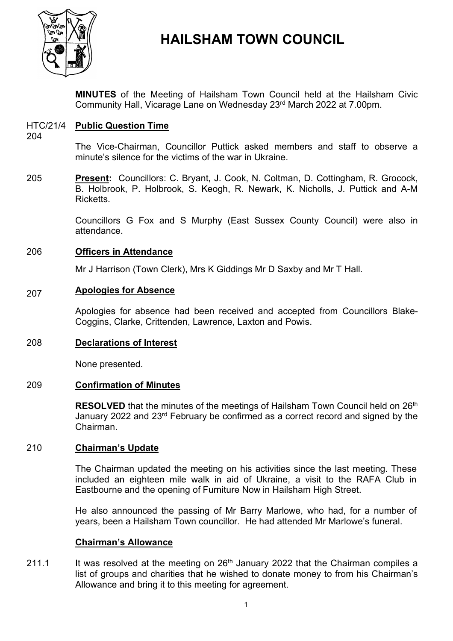

# **HAILSHAM TOWN COUNCIL**

**MINUTES** of the Meeting of Hailsham Town Council held at the Hailsham Civic Community Hall, Vicarage Lane on Wednesday 23 rd March 2022 at 7.00pm.

# HTC/21/4 **Public Question Time**

204

The Vice-Chairman, Councillor Puttick asked members and staff to observe a minute's silence for the victims of the war in Ukraine.

205 **Present:** Councillors: C. Bryant, J. Cook, N. Coltman, D. Cottingham, R. Grocock, B. Holbrook, P. Holbrook, S. Keogh, R. Newark, K. Nicholls, J. Puttick and A-M Ricketts.

> Councillors G Fox and S Murphy (East Sussex County Council) were also in attendance.

#### 206 **Officers in Attendance**

Mr J Harrison (Town Clerk), Mrs K Giddings Mr D Saxby and Mr T Hall.

#### 207 **Apologies for Absence**

Apologies for absence had been received and accepted from Councillors Blake-Coggins, Clarke, Crittenden, Lawrence, Laxton and Powis.

# 208 **Declarations of Interest**

None presented.

# 209 **Confirmation of Minutes**

RESOLVED that the minutes of the meetings of Hailsham Town Council held on 26<sup>th</sup> January 2022 and 23rd February be confirmed as a correct record and signed by the Chairman.

# 210 **Chairman's Update**

The Chairman updated the meeting on his activities since the last meeting. These included an eighteen mile walk in aid of Ukraine, a visit to the RAFA Club in Eastbourne and the opening of Furniture Now in Hailsham High Street.

He also announced the passing of Mr Barry Marlowe, who had, for a number of years, been a Hailsham Town councillor. He had attended Mr Marlowe's funeral.

# **Chairman's Allowance**

211.1 It was resolved at the meeting on 26<sup>th</sup> January 2022 that the Chairman compiles a list of groups and charities that he wished to donate money to from his Chairman's Allowance and bring it to this meeting for agreement.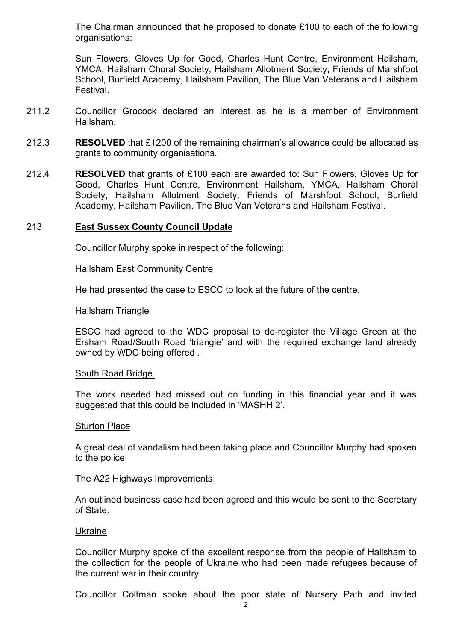The Chairman announced that he proposed to donate £100 to each of the following organisations:

Sun Flowers, Gloves Up for Good, Charles Hunt Centre, Environment Hailsham, YMCA, Hailsham Choral Society, Hailsham Allotment Society, Friends of Marshfoot School, Burfield Academy, Hailsham Pavilion, The Blue Van Veterans and Hailsham Festival.

- 211.2 Councillor Grocock declared an interest as he is a member of Environment Hailsham.
- 212.3 **RESOLVED** that £1200 of the remaining chairman's allowance could be allocated as grants to community organisations.
- 212.4 **RESOLVED** that grants of £100 each are awarded to: Sun Flowers, Gloves Up for Good, Charles Hunt Centre, Environment Hailsham, YMCA, Hailsham Choral Society, Hailsham Allotment Society, Friends of Marshfoot School, Burfield Academy, Hailsham Pavilion, The Blue Van Veterans and Hailsham Festival.

### 213 **East Sussex County Council Update**

Councillor Murphy spoke in respect of the following:

#### Hailsham East Community Centre

He had presented the case to ESCC to look at the future of the centre.

Hailsham Triangle

ESCC had agreed to the WDC proposal to de-register the Village Green at the Ersham Road/South Road 'triangle' and with the required exchange land already owned by WDC being offered .

#### South Road Bridge.

The work needed had missed out on funding in this financial year and it was suggested that this could be included in 'MASHH 2'.

#### Sturton Place

A great deal of vandalism had been taking place and Councillor Murphy had spoken to the police

#### The A22 Highways Improvements

An outlined business case had been agreed and this would be sent to the Secretary of State.

### Ukraine

Councillor Murphy spoke of the excellent response from the people of Hailsham to the collection for the people of Ukraine who had been made refugees because of the current war in their country.

Councillor Coltman spoke about the poor state of Nursery Path and invited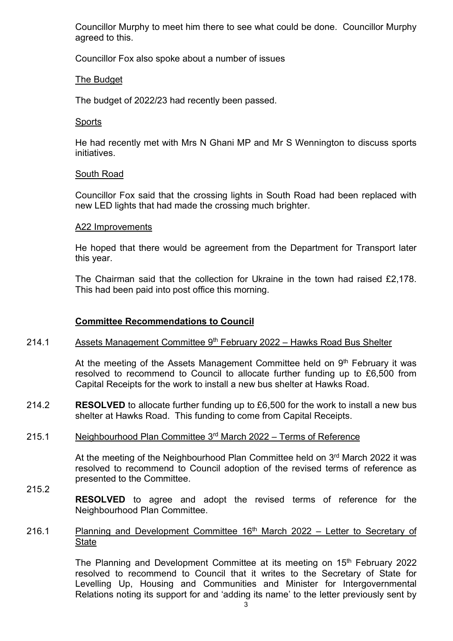Councillor Murphy to meet him there to see what could be done. Councillor Murphy agreed to this.

Councillor Fox also spoke about a number of issues

# The Budget

The budget of 2022/23 had recently been passed.

# **Sports**

He had recently met with Mrs N Ghani MP and Mr S Wennington to discuss sports initiatives.

# South Road

Councillor Fox said that the crossing lights in South Road had been replaced with new LED lights that had made the crossing much brighter.

# A22 Improvements

He hoped that there would be agreement from the Department for Transport later this year.

The Chairman said that the collection for Ukraine in the town had raised £2,178. This had been paid into post office this morning.

# **Committee Recommendations to Council**

#### 214.1 <u>Assets Management Committee 9<sup>th</sup> February 2022 – Hawks Road Bus Shelter</u>

At the meeting of the Assets Management Committee held on  $9<sup>th</sup>$  February it was resolved to recommend to Council to allocate further funding up to £6,500 from Capital Receipts for the work to install a new bus shelter at Hawks Road.

214.2 **RESOLVED** to allocate further funding up to £6,500 for the work to install a new bus shelter at Hawks Road. This funding to come from Capital Receipts.

#### 215.1 Neighbourhood Plan Committee 3<sup>rd</sup> March 2022 – Terms of Reference

At the meeting of the Neighbourhood Plan Committee held on 3rd March 2022 it was resolved to recommend to Council adoption of the revised terms of reference as presented to the Committee.

- 215.2 **RESOLVED** to agree and adopt the revised terms of reference for the Neighbourhood Plan Committee.
- 216.1 Planning and Development Committee  $16<sup>th</sup>$  March 2022 – Letter to Secretary of **State**

The Planning and Development Committee at its meeting on 15<sup>th</sup> February 2022 resolved to recommend to Council that it writes to the Secretary of State for Levelling Up, Housing and Communities and Minister for Intergovernmental Relations noting its support for and 'adding its name' to the letter previously sent by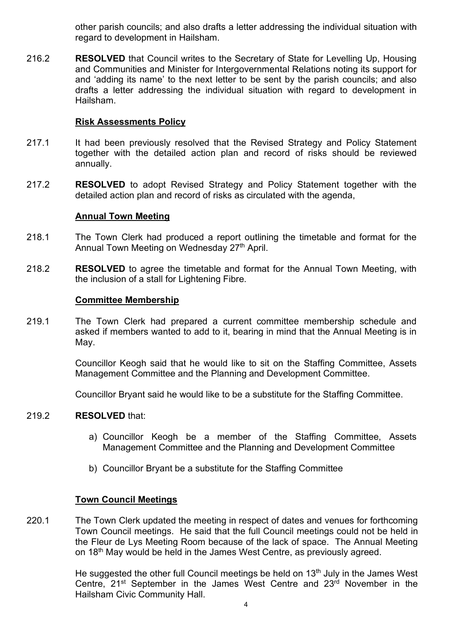other parish councils; and also drafts a letter addressing the individual situation with regard to development in Hailsham.

216.2 **RESOLVED** that Council writes to the Secretary of State for Levelling Up, Housing and Communities and Minister for Intergovernmental Relations noting its support for and 'adding its name' to the next letter to be sent by the parish councils; and also drafts a letter addressing the individual situation with regard to development in Hailsham.

### **Risk Assessments Policy**

- 217.1 It had been previously resolved that the Revised Strategy and Policy Statement together with the detailed action plan and record of risks should be reviewed annually.
- 217.2 **RESOLVED** to adopt Revised Strategy and Policy Statement together with the detailed action plan and record of risks as circulated with the agenda,

### **Annual Town Meeting**

- 218.1 The Town Clerk had produced a report outlining the timetable and format for the Annual Town Meeting on Wednesday 27<sup>th</sup> April.
- 218.2 **RESOLVED** to agree the timetable and format for the Annual Town Meeting, with the inclusion of a stall for Lightening Fibre.

### **Committee Membership**

219.1 The Town Clerk had prepared a current committee membership schedule and asked if members wanted to add to it, bearing in mind that the Annual Meeting is in May.

> Councillor Keogh said that he would like to sit on the Staffing Committee, Assets Management Committee and the Planning and Development Committee.

Councillor Bryant said he would like to be a substitute for the Staffing Committee.

#### 219.2 **RESOLVED** that:

- a) Councillor Keogh be a member of the Staffing Committee, Assets Management Committee and the Planning and Development Committee
- b) Councillor Bryant be a substitute for the Staffing Committee

### **Town Council Meetings**

220.1 The Town Clerk updated the meeting in respect of dates and venues for forthcoming Town Council meetings. He said that the full Council meetings could not be held in the Fleur de Lys Meeting Room because of the lack of space. The Annual Meeting on 18<sup>th</sup> May would be held in the James West Centre, as previously agreed.

> He suggested the other full Council meetings be held on  $13<sup>th</sup>$  July in the James West Centre, 21<sup>st</sup> September in the James West Centre and 23<sup>rd</sup> November in the Hailsham Civic Community Hall.